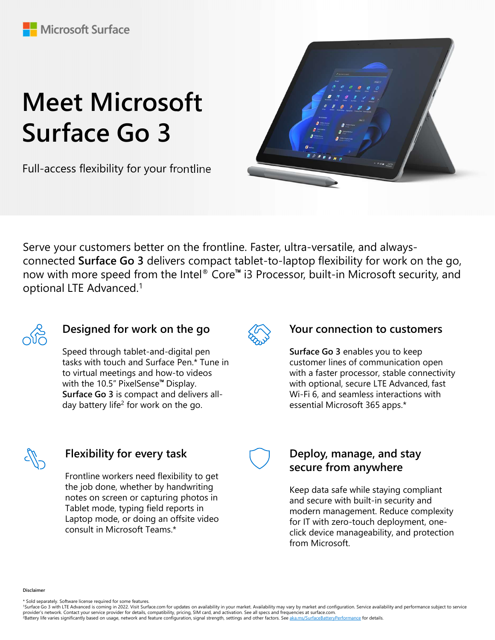# Meet Microsoft Surface Go 3

Full-access flexibility for your frontline



Serve your customers better on the frontline. Faster, ultra-versatile, and alwaysconnected Surface Go 3 delivers compact tablet-to-laptop flexibility for work on the go, now with more speed from the Intel® Core™ i3 Processor, built-in Microsoft security, and optional LTE Advanced.1



## Designed for work on the go

Speed through tablet-and-digital pen tasks with touch and Surface Pen.\* Tune in to virtual meetings and how-to videos with the 10.5" PixelSense™ Display. Surface Go 3 is compact and delivers allday battery life2 for work on the go.



#### Your connection to customers

Surface Go 3 enables you to keep customer lines of communication open with a faster processor, stable connectivity Iltra-versatile, and always-<br>ptop flexibility for work on the go,<br>sor, built-in Microsoft security, and<br>Your connection to customers<br>Surface Go 3 enables you to keep<br>customer lines of communication open<br>with a faster proce Wi-Fi 6, and seamless interactions with essential Microsoft 365 apps.\*



## Flexibility for every task

Frontline workers need flexibility to get the job done, whether by handwriting notes on screen or capturing photos in Tablet mode, typing field reports in Laptop mode, or doing an offsite video consult in Microsoft Teams.\*

#### Deploy, manage, and stay secure from anywhere

Surface Go 3 is compact and delivers and<br>day battery life<sup>2</sup> for work on the go.<br>
Flexibility for every task<br>
From anywhere<br>
from anywhere<br>
from anywhere<br>
the job done, whether by handwriting<br>
and sceure from anywhere<br>
and Elexibility for every task<br>
Frontline workers need flexibility to get<br>
the job done, whether by handwirting<br>
the job done, whether by handwirting<br>
the job done, whether by handwirting<br>
notes on screen or a puring photos in Keep data safe while staying compliant and secure with built-in security and modern management. Reduce complexity for IT with zero-touch deployment, oneclick device manageability, and protection from Microsoft.

Disclaimer

\* Sold separately. Software license required for some features.

<sup>&</sup>lt;sup>1</sup>Surface Go 3 with LTE Advanced is coming in 2022. Visit Surface.com for updates on availability in your market. Availability may vary by market and configuration. Service availability and performance subject to service<br>